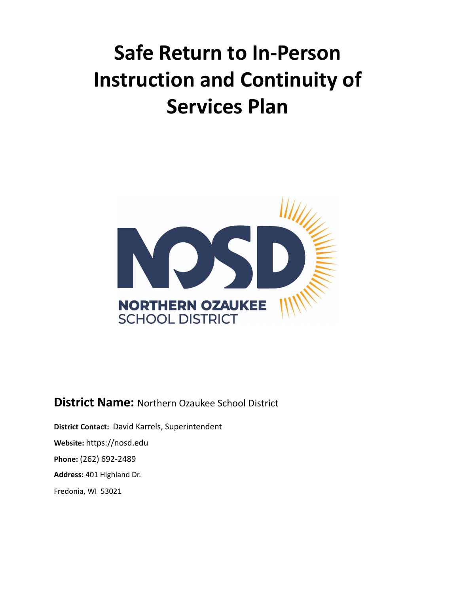# **Safe Return to In-Person Instruction and Continuity of Services Plan**



**District Name:** Northern Ozaukee School District

**District Contact:** David Karrels, Superintendent **Website:** https://nosd.edu **Phone:** (262) 692-2489 **Address:** 401 Highland Dr. Fredonia, WI 53021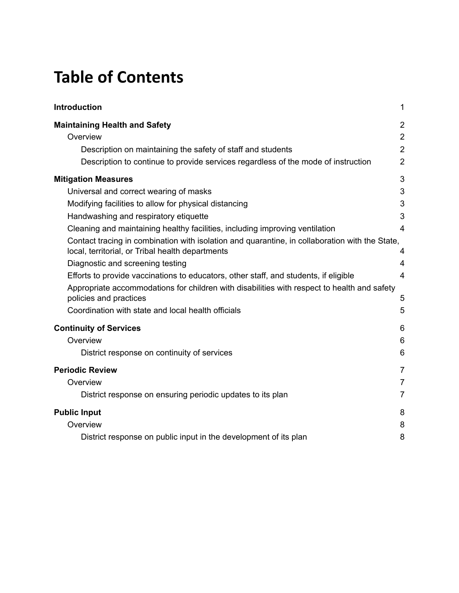### **Table of Contents**

| <b>Introduction</b>                                                                                                                                                                                                                                                                                                                                                                                                                                           | 1                                               |
|---------------------------------------------------------------------------------------------------------------------------------------------------------------------------------------------------------------------------------------------------------------------------------------------------------------------------------------------------------------------------------------------------------------------------------------------------------------|-------------------------------------------------|
| <b>Maintaining Health and Safety</b>                                                                                                                                                                                                                                                                                                                                                                                                                          | $\overline{2}$                                  |
| Overview                                                                                                                                                                                                                                                                                                                                                                                                                                                      | $\overline{2}$                                  |
| Description on maintaining the safety of staff and students                                                                                                                                                                                                                                                                                                                                                                                                   | $\overline{2}$                                  |
| Description to continue to provide services regardless of the mode of instruction                                                                                                                                                                                                                                                                                                                                                                             | $\overline{2}$                                  |
| <b>Mitigation Measures</b>                                                                                                                                                                                                                                                                                                                                                                                                                                    | 3                                               |
| Universal and correct wearing of masks                                                                                                                                                                                                                                                                                                                                                                                                                        | 3                                               |
| Modifying facilities to allow for physical distancing                                                                                                                                                                                                                                                                                                                                                                                                         | 3                                               |
| Handwashing and respiratory etiquette                                                                                                                                                                                                                                                                                                                                                                                                                         | 3                                               |
| Cleaning and maintaining healthy facilities, including improving ventilation                                                                                                                                                                                                                                                                                                                                                                                  | $\overline{4}$                                  |
| Contact tracing in combination with isolation and quarantine, in collaboration with the State,<br>local, territorial, or Tribal health departments<br>Diagnostic and screening testing<br>Efforts to provide vaccinations to educators, other staff, and students, if eligible<br>Appropriate accommodations for children with disabilities with respect to health and safety<br>policies and practices<br>Coordination with state and local health officials | 4<br>$\overline{4}$<br>$\overline{4}$<br>5<br>5 |
| <b>Continuity of Services</b>                                                                                                                                                                                                                                                                                                                                                                                                                                 | 6                                               |
| Overview                                                                                                                                                                                                                                                                                                                                                                                                                                                      | 6                                               |
| District response on continuity of services                                                                                                                                                                                                                                                                                                                                                                                                                   | 6                                               |
| <b>Periodic Review</b>                                                                                                                                                                                                                                                                                                                                                                                                                                        | $\overline{7}$                                  |
| Overview                                                                                                                                                                                                                                                                                                                                                                                                                                                      | $\overline{7}$                                  |
| District response on ensuring periodic updates to its plan                                                                                                                                                                                                                                                                                                                                                                                                    | $\overline{7}$                                  |
| <b>Public Input</b>                                                                                                                                                                                                                                                                                                                                                                                                                                           | 8                                               |
| Overview                                                                                                                                                                                                                                                                                                                                                                                                                                                      | 8                                               |
| District response on public input in the development of its plan                                                                                                                                                                                                                                                                                                                                                                                              | 8                                               |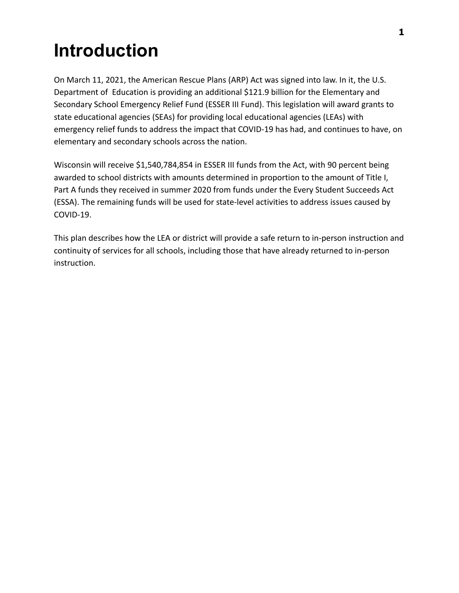## <span id="page-2-0"></span>**Introduction**

On March 11, 2021, the American Rescue Plans (ARP) Act was signed into law. In it, the U.S. Department of Education is providing an additional \$121.9 billion for the Elementary and Secondary School Emergency Relief Fund (ESSER III Fund). This legislation will award grants to state educational agencies (SEAs) for providing local educational agencies (LEAs) with emergency relief funds to address the impact that COVID-19 has had, and continues to have, on elementary and secondary schools across the nation.

Wisconsin will receive \$1,540,784,854 in ESSER III funds from the Act, with 90 percent being awarded to school districts with amounts determined in proportion to the amount of Title I, Part A funds they received in summer 2020 from funds under the Every Student Succeeds Act (ESSA). The remaining funds will be used for state-level activities to address issues caused by COVID-19.

This plan describes how the LEA or district will provide a safe return to in-person instruction and continuity of services for all schools, including those that have already returned to in-person instruction.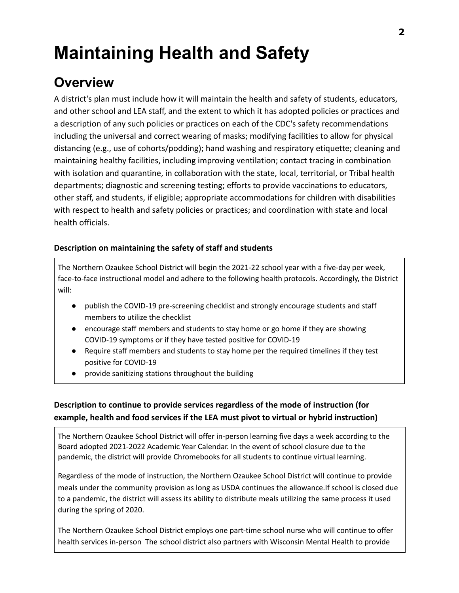## <span id="page-3-0"></span>**Maintaining Health and Safety**

### <span id="page-3-1"></span>**Overview**

A district's plan must include how it will maintain the health and safety of students, educators, and other school and LEA staff, and the extent to which it has adopted policies or practices and a description of any such policies or practices on each of the CDC's safety recommendations including the universal and correct wearing of masks; modifying facilities to allow for physical distancing (e.g., use of cohorts/podding); hand washing and respiratory etiquette; cleaning and maintaining healthy facilities, including improving ventilation; contact tracing in combination with isolation and quarantine, in collaboration with the state, local, territorial, or Tribal health departments; diagnostic and screening testing; efforts to provide vaccinations to educators, other staff, and students, if eligible; appropriate accommodations for children with disabilities with respect to health and safety policies or practices; and coordination with state and local health officials.

#### <span id="page-3-2"></span>**Description on maintaining the safety of staff and students**

The Northern Ozaukee School District will begin the 2021-22 school year with a five-day per week, face-to-face instructional model and adhere to the following health protocols. Accordingly, the District will:

- publish the COVID-19 pre-screening checklist and strongly encourage students and staff members to utilize the checklist
- encourage staff members and students to stay home or go home if they are showing COVID-19 symptoms or if they have tested positive for COVID-19
- Require staff members and students to stay home per the required timelines if they test positive for COVID-19
- provide sanitizing stations throughout the building

#### <span id="page-3-3"></span>**Description to continue to provide services regardless of the mode of instruction (for example, health and food services if the LEA must pivot to virtual or hybrid instruction)**

The Northern Ozaukee School District will offer in-person learning five days a week according to the Board adopted 2021-2022 Academic Year Calendar. In the event of school closure due to the pandemic, the district will provide Chromebooks for all students to continue virtual learning.

Regardless of the mode of instruction, the Northern Ozaukee School District will continue to provide meals under the community provision as long as USDA continues the allowance.If school is closed due to a pandemic, the district will assess its ability to distribute meals utilizing the same process it used during the spring of 2020.

The Northern Ozaukee School District employs one part-time school nurse who will continue to offer health services in-person The school district also partners with Wisconsin Mental Health to provide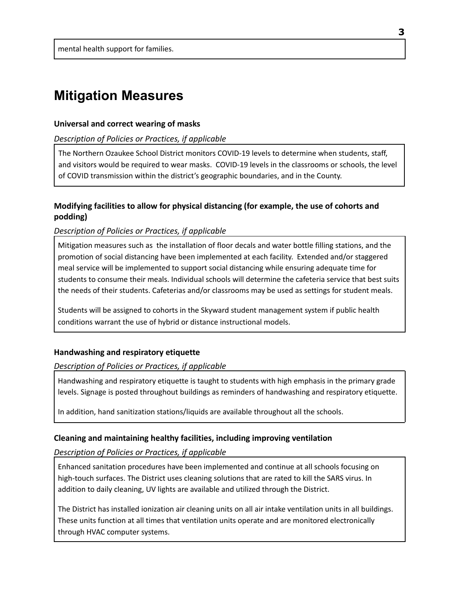### <span id="page-4-0"></span>**Mitigation Measures**

#### <span id="page-4-1"></span>**Universal and correct wearing of masks**

#### *Description of Policies or Practices, if applicable*

The Northern Ozaukee School District monitors COVID-19 levels to determine when students, staff, and visitors would be required to wear masks. COVID-19 levels in the classrooms or schools, the level of COVID transmission within the district's geographic boundaries, and in the County.

#### <span id="page-4-2"></span>**Modifying facilities to allow for physical distancing (for example, the use of cohorts and podding)**

#### *Description of Policies or Practices, if applicable*

Mitigation measures such as the installation of floor decals and water bottle filling stations, and the promotion of social distancing have been implemented at each facility. Extended and/or staggered meal service will be implemented to support social distancing while ensuring adequate time for students to consume their meals. Individual schools will determine the cafeteria service that best suits the needs of their students. Cafeterias and/or classrooms may be used as settings for student meals.

Students will be assigned to cohorts in the Skyward student management system if public health conditions warrant the use of hybrid or distance instructional models.

#### <span id="page-4-3"></span>**Handwashing and respiratory etiquette**

#### *Description of Policies or Practices, if applicable*

Handwashing and respiratory etiquette is taught to students with high emphasis in the primary grade levels. Signage is posted throughout buildings as reminders of handwashing and respiratory etiquette.

In addition, hand sanitization stations/liquids are available throughout all the schools.

#### <span id="page-4-4"></span>**Cleaning and maintaining healthy facilities, including improving ventilation**

#### *Description of Policies or Practices, if applicable*

Enhanced sanitation procedures have been implemented and continue at all schools focusing on high-touch surfaces. The District uses cleaning solutions that are rated to kill the SARS virus. In addition to daily cleaning, UV lights are available and utilized through the District.

The District has installed ionization air cleaning units on all air intake ventilation units in all buildings. These units function at all times that ventilation units operate and are monitored electronically through HVAC computer systems.

**3**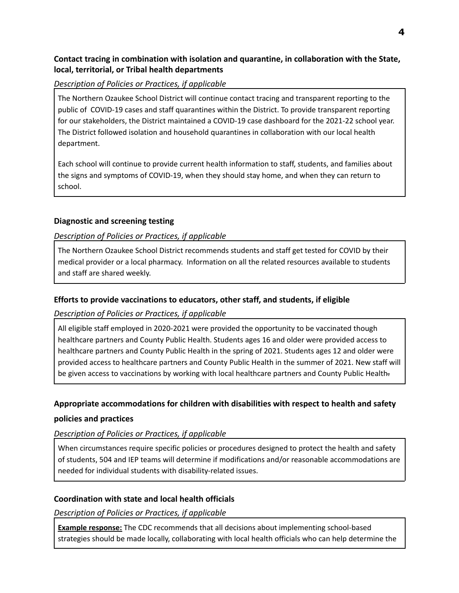#### <span id="page-5-0"></span>**Contact tracing in combination with isolation and quarantine, in collaboration with the State, local, territorial, or Tribal health departments**

#### *Description of Policies or Practices, if applicable*

The Northern Ozaukee School District will continue contact tracing and transparent reporting to the public of COVID-19 cases and staff quarantines within the District. To provide transparent reporting for our stakeholders, the District maintained a COVID-19 case dashboard for the 2021-22 school year. The District followed isolation and household quarantines in collaboration with our local health department.

Each school will continue to provide current health information to staff, students, and families about the signs and symptoms of COVID-19, when they should stay home, and when they can return to school.

#### <span id="page-5-1"></span>**Diagnostic and screening testing**

#### *Description of Policies or Practices, if applicable*

The Northern Ozaukee School District recommends students and staff get tested for COVID by their medical provider or a local pharmacy. Information on all the related resources available to students and staff are shared weekly.

#### <span id="page-5-2"></span>**Efforts to provide vaccinations to educators, other staff, and students, if eligible**

*Description of Policies or Practices, if applicable*

All eligible staff employed in 2020-2021 were provided the opportunity to be vaccinated though healthcare partners and County Public Health. Students ages 16 and older were provided access to healthcare partners and County Public Health in the spring of 2021. Students ages 12 and older were provided access to healthcare partners and County Public Health in the summer of 2021. New staff will be given access to vaccinations by working with local healthcare partners and County Public Health-

#### **Appropriate accommodations for children with disabilities with respect to health and safety**

#### <span id="page-5-3"></span>**policies and practices**

#### *Description of Policies or Practices, if applicable*

When circumstances require specific policies or procedures designed to protect the health and safety of students, 504 and IEP teams will determine if modifications and/or reasonable accommodations are needed for individual students with disability-related issues.

#### <span id="page-5-4"></span>**Coordination with state and local health officials**

*Description of Policies or Practices, if applicable*

**Example response:** The CDC recommends that all decisions about implementing school-based strategies should be made locally, collaborating with local health officials who can help determine the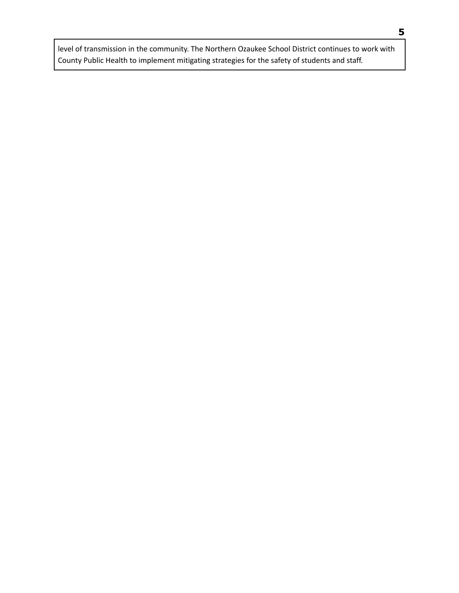level of transmission in the community. The Northern Ozaukee School District continues to work with County Public Health to implement mitigating strategies for the safety of students and staff.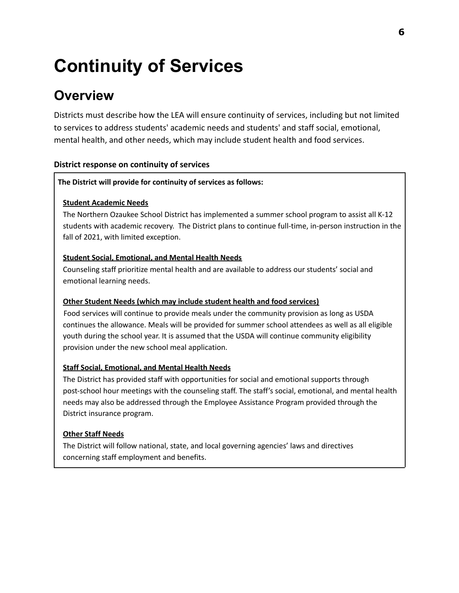## <span id="page-7-0"></span>**Continuity of Services**

### <span id="page-7-1"></span>**Overview**

Districts must describe how the LEA will ensure continuity of services, including but not limited to services to address students' academic needs and students' and staff social, emotional, mental health, and other needs, which may include student health and food services.

#### <span id="page-7-2"></span>**District response on continuity of services**

#### **The District will provide for continuity of services as follows:**

#### **Student Academic Needs**

The Northern Ozaukee School District has implemented a summer school program to assist all K-12 students with academic recovery. The District plans to continue full-time, in-person instruction in the fall of 2021, with limited exception.

#### **Student Social, Emotional, and Mental Health Needs**

Counseling staff prioritize mental health and are available to address our students' social and emotional learning needs.

#### **Other Student Needs (which may include student health and food services)**

Food services will continue to provide meals under the community provision as long as USDA continues the allowance. Meals will be provided for summer school attendees as well as all eligible youth during the school year. It is assumed that the USDA will continue community eligibility provision under the new school meal application.

#### **Staff Social, Emotional, and Mental Health Needs**

The District has provided staff with opportunities for social and emotional supports through post-school hour meetings with the counseling staff. The staff's social, emotional, and mental health needs may also be addressed through the Employee Assistance Program provided through the District insurance program.

#### **Other Staff Needs**

<span id="page-7-3"></span>The District will follow national, state, and local governing agencies' laws and directives concerning staff employment and benefits.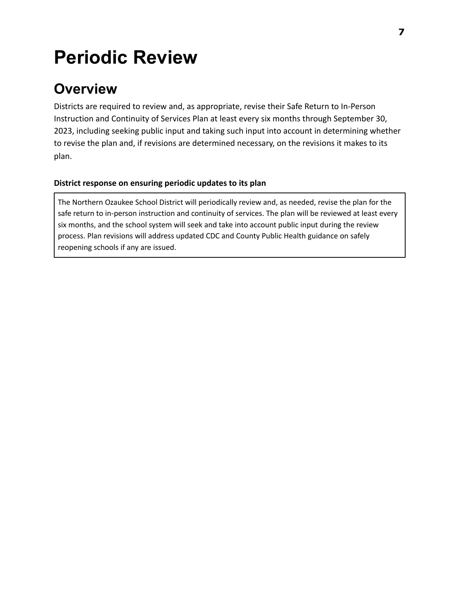## **Periodic Review**

### <span id="page-8-0"></span>**Overview**

Districts are required to review and, as appropriate, revise their Safe Return to In-Person Instruction and Continuity of Services Plan at least every six months through September 30, 2023, including seeking public input and taking such input into account in determining whether to revise the plan and, if revisions are determined necessary, on the revisions it makes to its plan.

#### <span id="page-8-1"></span>**District response on ensuring periodic updates to its plan**

The Northern Ozaukee School District will periodically review and, as needed, revise the plan for the safe return to in-person instruction and continuity of services. The plan will be reviewed at least every six months, and the school system will seek and take into account public input during the review process. Plan revisions will address updated CDC and County Public Health guidance on safely reopening schools if any are issued.